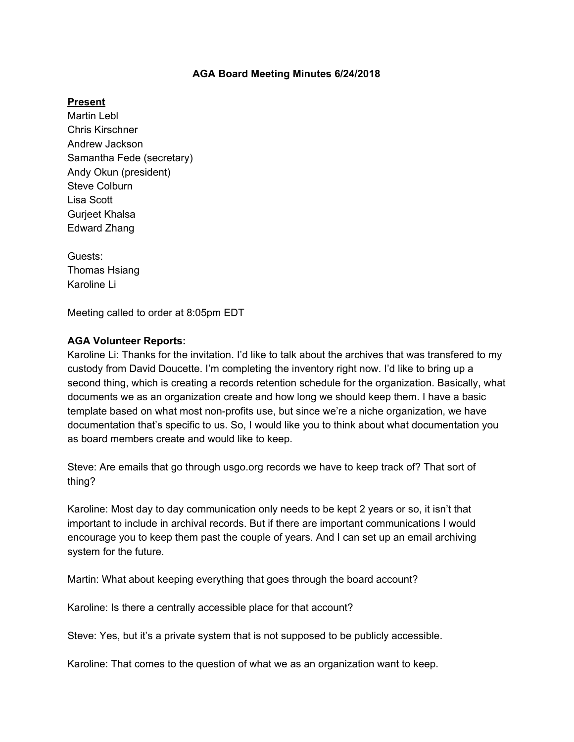### **AGA Board Meeting Minutes 6/24/2018**

### **Present**

Martin Lebl Chris Kirschner Andrew Jackson Samantha Fede (secretary) Andy Okun (president) Steve Colburn Lisa Scott Gurjeet Khalsa Edward Zhang

Guests: Thomas Hsiang Karoline Li

Meeting called to order at 8:05pm EDT

### **AGA Volunteer Reports:**

Karoline Li: Thanks for the invitation. I'd like to talk about the archives that was transfered to my custody from David Doucette. I'm completing the inventory right now. I'd like to bring up a second thing, which is creating a records retention schedule for the organization. Basically, what documents we as an organization create and how long we should keep them. I have a basic template based on what most non-profits use, but since we're a niche organization, we have documentation that's specific to us. So, I would like you to think about what documentation you as board members create and would like to keep.

Steve: Are emails that go through usgo.org records we have to keep track of? That sort of thing?

Karoline: Most day to day communication only needs to be kept 2 years or so, it isn't that important to include in archival records. But if there are important communications I would encourage you to keep them past the couple of years. And I can set up an email archiving system for the future.

Martin: What about keeping everything that goes through the board account?

Karoline: Is there a centrally accessible place for that account?

Steve: Yes, but it's a private system that is not supposed to be publicly accessible.

Karoline: That comes to the question of what we as an organization want to keep.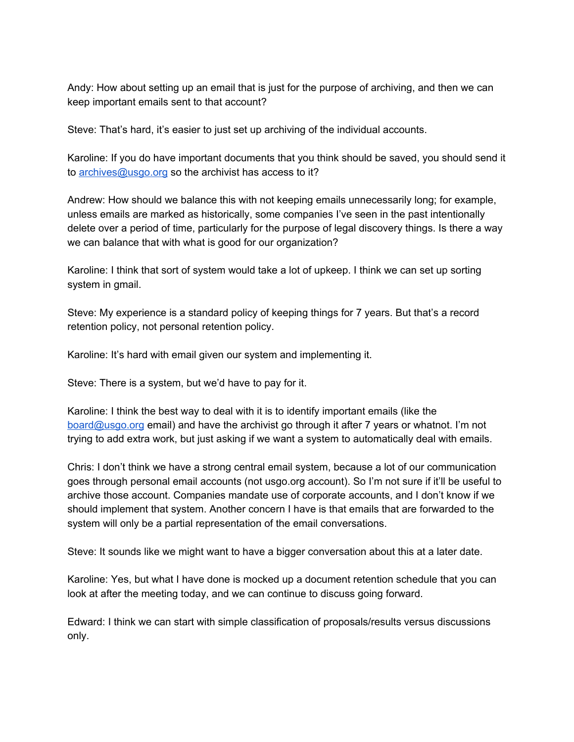Andy: How about setting up an email that is just for the purpose of archiving, and then we can keep important emails sent to that account?

Steve: That's hard, it's easier to just set up archiving of the individual accounts.

Karoline: If you do have important documents that you think should be saved, you should send it to [archives@usgo.org](mailto:archives@usgo.org) so the archivist has access to it?

Andrew: How should we balance this with not keeping emails unnecessarily long; for example, unless emails are marked as historically, some companies I've seen in the past intentionally delete over a period of time, particularly for the purpose of legal discovery things. Is there a way we can balance that with what is good for our organization?

Karoline: I think that sort of system would take a lot of upkeep. I think we can set up sorting system in gmail.

Steve: My experience is a standard policy of keeping things for 7 years. But that's a record retention policy, not personal retention policy.

Karoline: It's hard with email given our system and implementing it.

Steve: There is a system, but we'd have to pay for it.

Karoline: I think the best way to deal with it is to identify important emails (like the [board@usgo.org](mailto:board@usgo.org) email) and have the archivist go through it after 7 years or whatnot. I'm not trying to add extra work, but just asking if we want a system to automatically deal with emails.

Chris: I don't think we have a strong central email system, because a lot of our communication goes through personal email accounts (not usgo.org account). So I'm not sure if it'll be useful to archive those account. Companies mandate use of corporate accounts, and I don't know if we should implement that system. Another concern I have is that emails that are forwarded to the system will only be a partial representation of the email conversations.

Steve: It sounds like we might want to have a bigger conversation about this at a later date.

Karoline: Yes, but what I have done is mocked up a document retention schedule that you can look at after the meeting today, and we can continue to discuss going forward.

Edward: I think we can start with simple classification of proposals/results versus discussions only.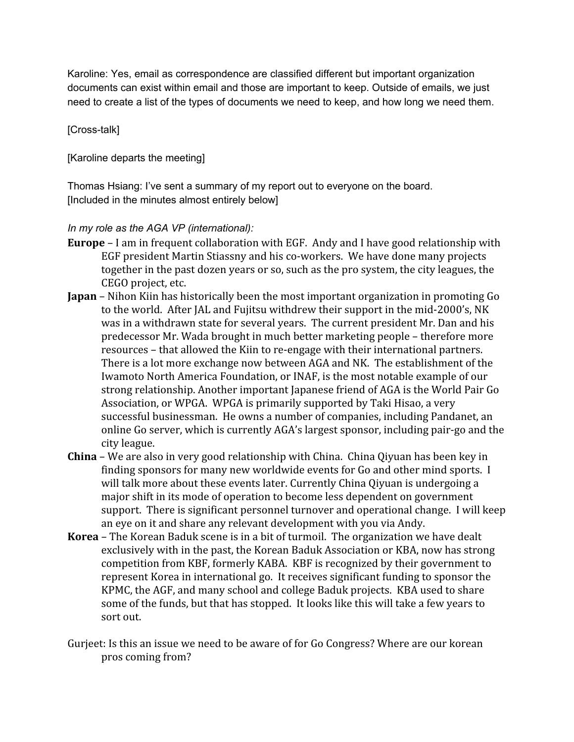Karoline: Yes, email as correspondence are classified different but important organization documents can exist within email and those are important to keep. Outside of emails, we just need to create a list of the types of documents we need to keep, and how long we need them.

## [Cross-talk]

[Karoline departs the meeting]

Thomas Hsiang: I've sent a summary of my report out to everyone on the board. [Included in the minutes almost entirely below]

*In my role as the AGA VP (international):*

- **Europe** I am in frequent collaboration with EGF. Andy and I have good relationship with EGF president Martin Stiassny and his co-workers. We have done many projects together in the past dozen years or so, such as the pro system, the city leagues, the CEGO project, etc.
- **Japan** Nihon Kiin has historically been the most important organization in promoting Go to the world. After JAL and Fujitsu withdrew their support in the mid-2000's, NK was in a withdrawn state for several years. The current president Mr. Dan and his predecessor Mr. Wada brought in much better marketing people – therefore more resources – that allowed the Kiin to re-engage with their international partners. There is a lot more exchange now between AGA and NK. The establishment of the Iwamoto North America Foundation, or INAF, is the most notable example of our strong relationship. Another important Japanese friend of AGA is the World Pair Go Association, or WPGA. WPGA is primarily supported by Taki Hisao, a very successful businessman. He owns a number of companies, including Pandanet, an online Go server, which is currently AGA's largest sponsor, including pair-go and the city league.
- **China** We are also in very good relationship with China. China Qiyuan has been key in finding sponsors for many new worldwide events for Go and other mind sports. I will talk more about these events later. Currently China Qiyuan is undergoing a major shift in its mode of operation to become less dependent on government support. There is significant personnel turnover and operational change. I will keep an eye on it and share any relevant development with you via Andy.
- **Korea** The Korean Baduk scene is in a bit of turmoil. The organization we have dealt exclusively with in the past, the Korean Baduk Association or KBA, now has strong competition from KBF, formerly KABA. KBF is recognized by their government to represent Korea in international go. It receives significant funding to sponsor the KPMC, the AGF, and many school and college Baduk projects. KBA used to share some of the funds, but that has stopped. It looks like this will take a few years to sort out.
- Gurjeet: Is this an issue we need to be aware of for Go Congress? Where are our korean pros coming from?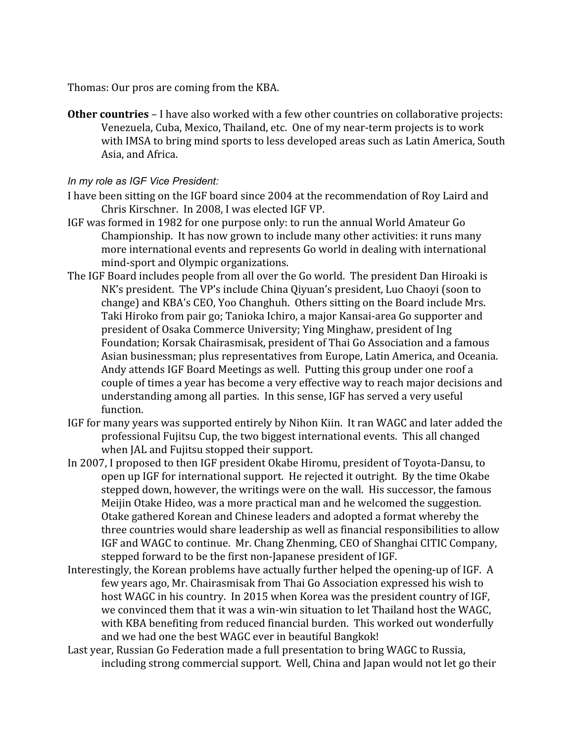Thomas: Our pros are coming from the KBA.

**Other countries** – I have also worked with a few other countries on collaborative projects: Venezuela, Cuba, Mexico, Thailand, etc. One of my near-term projects is to work with IMSA to bring mind sports to less developed areas such as Latin America, South Asia, and Africa.

### *In my role as IGF Vice President:*

- I have been sitting on the IGF board since 2004 at the recommendation of Roy Laird and Chris Kirschner. In 2008, I was elected IGF VP.
- IGF was formed in 1982 for one purpose only: to run the annual World Amateur Go Championship. It has now grown to include many other activities: it runs many more international events and represents Go world in dealing with international mind-sport and Olympic organizations.
- The IGF Board includes people from all over the Go world. The president Dan Hiroaki is NK's president. The VP's include China Qiyuan's president, Luo Chaoyi (soon to change) and KBA's CEO, Yoo Changhuh. Others sitting on the Board include Mrs. Taki Hiroko from pair go; Tanioka Ichiro, a major Kansai-area Go supporter and president of Osaka Commerce University; Ying Minghaw, president of Ing Foundation; Korsak Chairasmisak, president of Thai Go Association and a famous Asian businessman; plus representatives from Europe, Latin America, and Oceania. Andy attends IGF Board Meetings as well. Putting this group under one roof a couple of times a year has become a very effective way to reach major decisions and understanding among all parties. In this sense, IGF has served a very useful function.
- IGF for many years was supported entirely by Nihon Kiin. It ran WAGC and later added the professional Fujitsu Cup, the two biggest international events. This all changed when JAL and Fujitsu stopped their support.
- In 2007, I proposed to then IGF president Okabe Hiromu, president of Toyota-Dansu, to open up IGF for international support. He rejected it outright. By the time Okabe stepped down, however, the writings were on the wall. His successor, the famous Meijin Otake Hideo, was a more practical man and he welcomed the suggestion. Otake gathered Korean and Chinese leaders and adopted a format whereby the three countries would share leadership as well as financial responsibilities to allow IGF and WAGC to continue. Mr. Chang Zhenming, CEO of Shanghai CITIC Company, stepped forward to be the first non-Japanese president of IGF.
- Interestingly, the Korean problems have actually further helped the opening-up of IGF. A few years ago, Mr. Chairasmisak from Thai Go Association expressed his wish to host WAGC in his country. In 2015 when Korea was the president country of IGF, we convinced them that it was a win-win situation to let Thailand host the WAGC, with KBA benefiting from reduced financial burden. This worked out wonderfully and we had one the best WAGC ever in beautiful Bangkok!
- Last year, Russian Go Federation made a full presentation to bring WAGC to Russia, including strong commercial support. Well, China and Japan would not let go their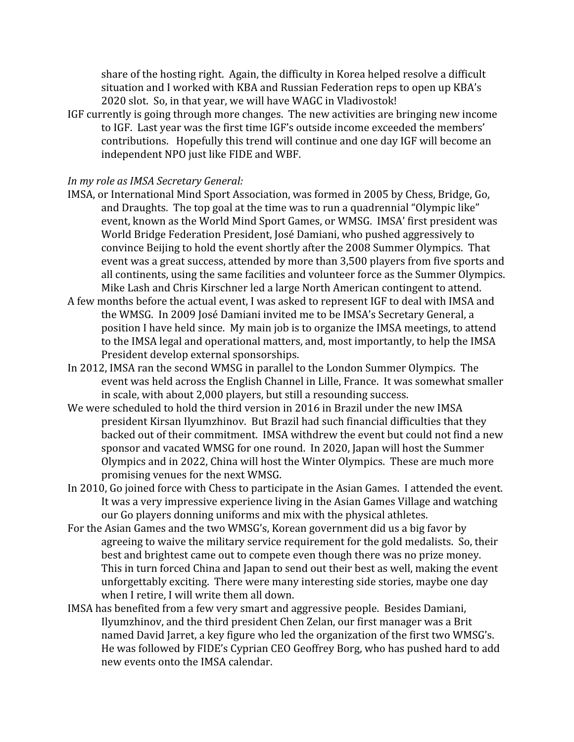share of the hosting right. Again, the difficulty in Korea helped resolve a difficult situation and I worked with KBA and Russian Federation reps to open up KBA's 2020 slot. So, in that year, we will have WAGC in Vladivostok!

IGF currently is going through more changes. The new activities are bringing new income to IGF. Last year was the first time IGF's outside income exceeded the members' contributions. Hopefully this trend will continue and one day IGF will become an independent NPO just like FIDE and WBF.

### *In my role as IMSA Secretary General:*

- IMSA, or International Mind Sport Association, was formed in 2005 by Chess, Bridge, Go, and Draughts. The top goal at the time was to run a quadrennial "Olympic like" event, known as the World Mind Sport Games, or WMSG. IMSA' first president was World Bridge Federation President, José Damiani, who pushed aggressively to convince Beijing to hold the event shortly after the 2008 Summer Olympics. That event was a great success, attended by more than 3,500 players from five sports and all continents, using the same facilities and volunteer force as the Summer Olympics. Mike Lash and Chris Kirschner led a large North American contingent to attend.
- A few months before the actual event, I was asked to represent IGF to deal with IMSA and the WMSG. In 2009 José Damiani invited me to be IMSA's Secretary General, a position I have held since. My main job is to organize the IMSA meetings, to attend to the IMSA legal and operational matters, and, most importantly, to help the IMSA President develop external sponsorships.
- In 2012, IMSA ran the second WMSG in parallel to the London Summer Olympics. The event was held across the English Channel in Lille, France. It was somewhat smaller in scale, with about 2,000 players, but still a resounding success.
- We were scheduled to hold the third version in 2016 in Brazil under the new IMSA president Kirsan Ilyumzhinov. But Brazil had such financial difficulties that they backed out of their commitment. IMSA withdrew the event but could not find a new sponsor and vacated WMSG for one round. In 2020, Japan will host the Summer Olympics and in 2022, China will host the Winter Olympics. These are much more promising venues for the next WMSG.
- In 2010, Go joined force with Chess to participate in the Asian Games. I attended the event. It was a very impressive experience living in the Asian Games Village and watching our Go players donning uniforms and mix with the physical athletes.
- For the Asian Games and the two WMSG's, Korean government did us a big favor by agreeing to waive the military service requirement for the gold medalists. So, their best and brightest came out to compete even though there was no prize money. This in turn forced China and Japan to send out their best as well, making the event unforgettably exciting. There were many interesting side stories, maybe one day when I retire, I will write them all down.
- IMSA has benefited from a few very smart and aggressive people. Besides Damiani, Ilyumzhinov, and the third president Chen Zelan, our first manager was a Brit named David Jarret, a key figure who led the organization of the first two WMSG's. He was followed by FIDE's Cyprian CEO Geoffrey Borg, who has pushed hard to add new events onto the IMSA calendar.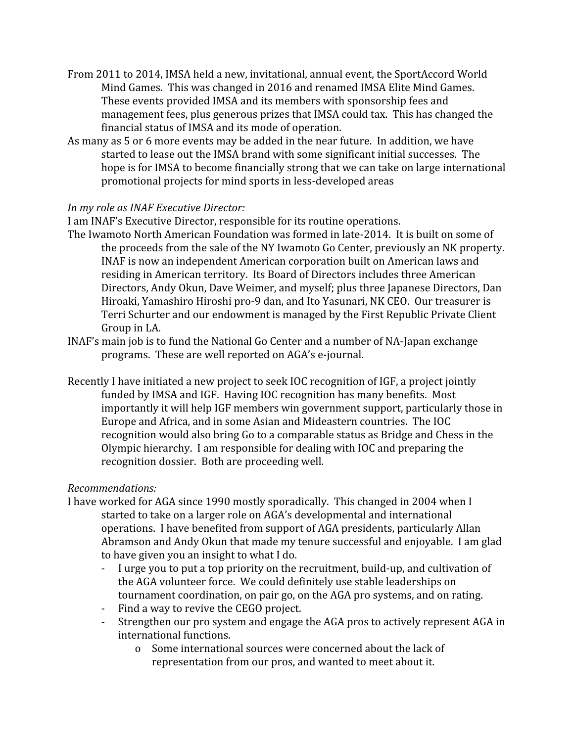- From 2011 to 2014, IMSA held a new, invitational, annual event, the SportAccord World Mind Games. This was changed in 2016 and renamed IMSA Elite Mind Games. These events provided IMSA and its members with sponsorship fees and management fees, plus generous prizes that IMSA could tax. This has changed the financial status of IMSA and its mode of operation.
- As many as 5 or 6 more events may be added in the near future. In addition, we have started to lease out the IMSA brand with some significant initial successes. The hope is for IMSA to become financially strong that we can take on large international promotional projects for mind sports in less-developed areas

# *In my role as INAF Executive Director:*

I am INAF's Executive Director, responsible for its routine operations.

- The Iwamoto North American Foundation was formed in late-2014. It is built on some of the proceeds from the sale of the NY Iwamoto Go Center, previously an NK property. INAF is now an independent American corporation built on American laws and residing in American territory. Its Board of Directors includes three American Directors, Andy Okun, Dave Weimer, and myself; plus three Japanese Directors, Dan Hiroaki, Yamashiro Hiroshi pro-9 dan, and Ito Yasunari, NK CEO. Our treasurer is Terri Schurter and our endowment is managed by the First Republic Private Client Group in LA.
- INAF's main job is to fund the National Go Center and a number of NA-Japan exchange programs. These are well reported on AGA's e-journal.
- Recently I have initiated a new project to seek IOC recognition of IGF, a project jointly funded by IMSA and IGF. Having IOC recognition has many benefits. Most importantly it will help IGF members win government support, particularly those in Europe and Africa, and in some Asian and Mideastern countries. The IOC recognition would also bring Go to a comparable status as Bridge and Chess in the Olympic hierarchy. I am responsible for dealing with IOC and preparing the recognition dossier. Both are proceeding well.

## *Recommendations:*

- I have worked for AGA since 1990 mostly sporadically. This changed in 2004 when I started to take on a larger role on AGA's developmental and international operations. I have benefited from support of AGA presidents, particularly Allan Abramson and Andy Okun that made my tenure successful and enjoyable. I am glad to have given you an insight to what I do.
	- I urge you to put a top priority on the recruitment, build-up, and cultivation of the AGA volunteer force. We could definitely use stable leaderships on tournament coordination, on pair go, on the AGA pro systems, and on rating.
	- Find a way to revive the CEGO project.
	- Strengthen our pro system and engage the AGA pros to actively represent AGA in international functions.
		- o Some international sources were concerned about the lack of representation from our pros, and wanted to meet about it.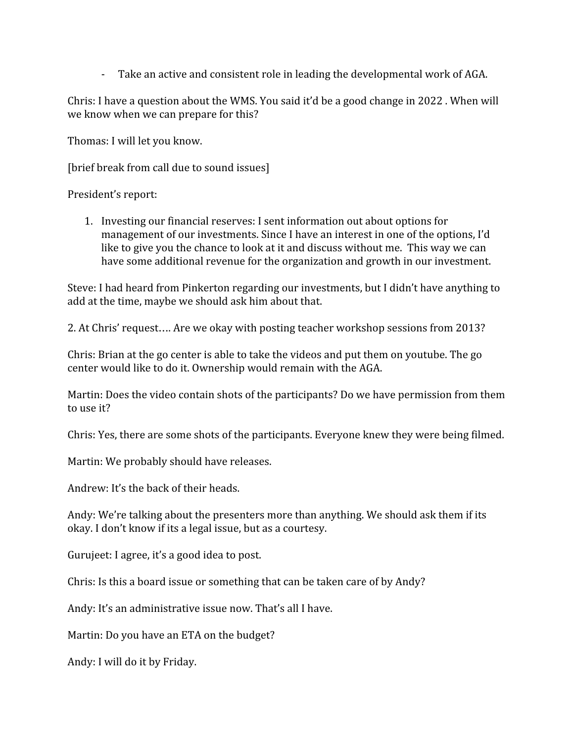- Take an active and consistent role in leading the developmental work of AGA.

Chris: I have a question about the WMS. You said it'd be a good change in 2022 . When will we know when we can prepare for this?

Thomas: I will let you know.

[brief break from call due to sound issues]

President's report:

1. Investing our financial reserves: I sent information out about options for management of our investments. Since I have an interest in one of the options, I'd like to give you the chance to look at it and discuss without me. This way we can have some additional revenue for the organization and growth in our investment.

Steve: I had heard from Pinkerton regarding our investments, but I didn't have anything to add at the time, maybe we should ask him about that.

2. At Chris' request…. Are we okay with posting teacher workshop sessions from 2013?

Chris: Brian at the go center is able to take the videos and put them on youtube. The go center would like to do it. Ownership would remain with the AGA.

Martin: Does the video contain shots of the participants? Do we have permission from them to use it?

Chris: Yes, there are some shots of the participants. Everyone knew they were being filmed.

Martin: We probably should have releases.

Andrew: It's the back of their heads.

Andy: We're talking about the presenters more than anything. We should ask them if its okay. I don't know if its a legal issue, but as a courtesy.

Gurujeet: I agree, it's a good idea to post.

Chris: Is this a board issue or something that can be taken care of by Andy?

Andy: It's an administrative issue now. That's all I have.

Martin: Do you have an ETA on the budget?

Andy: I will do it by Friday.